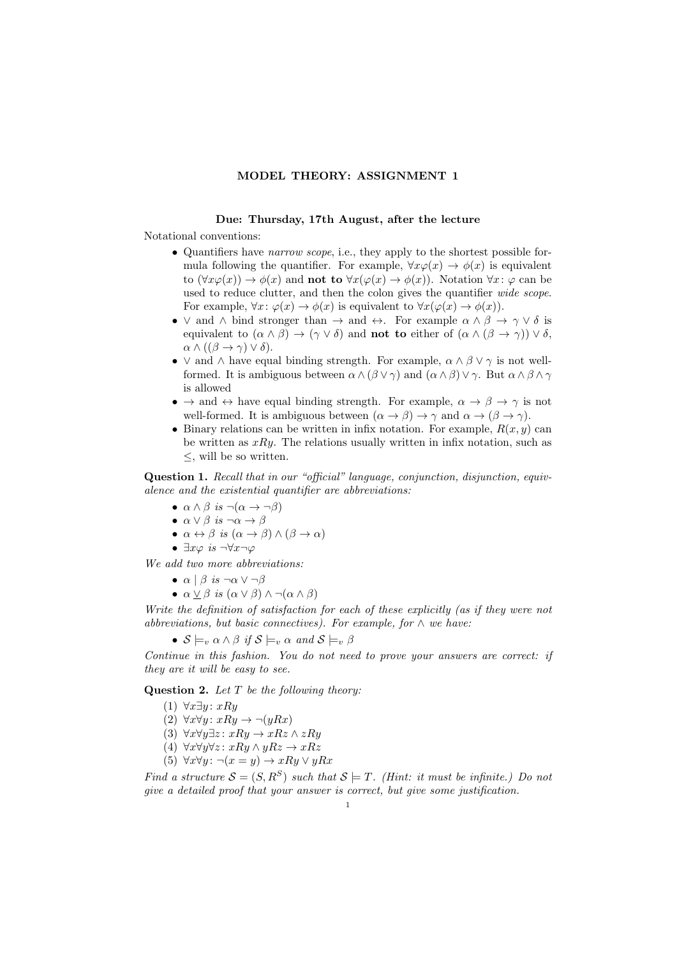## MODEL THEORY: ASSIGNMENT 1

## Due: Thursday, 17th August, after the lecture

Notational conventions:

- Quantifiers have *narrow scope*, i.e., they apply to the shortest possible formula following the quantifier. For example,  $\forall x \varphi(x) \rightarrow \varphi(x)$  is equivalent to  $(\forall x \varphi(x)) \rightarrow \varphi(x)$  and **not to**  $\forall x (\varphi(x) \rightarrow \varphi(x))$ . Notation  $\forall x: \varphi$  can be used to reduce clutter, and then the colon gives the quantifier *wide scope*. For example,  $\forall x: \varphi(x) \to \phi(x)$  is equivalent to  $\forall x(\varphi(x) \to \phi(x))$ .
- $\vee$  and  $\wedge$  bind stronger than  $\rightarrow$  and  $\leftrightarrow$ . For example  $\alpha \wedge \beta \rightarrow \gamma \vee \delta$  is equivalent to  $(\alpha \wedge \beta) \rightarrow (\gamma \vee \delta)$  and **not to** either of  $(\alpha \wedge (\beta \rightarrow \gamma)) \vee \delta$ ,  $\alpha \wedge ((\beta \rightarrow \gamma) \vee \delta).$
- $\vee$  and  $\wedge$  have equal binding strength. For example,  $\alpha \wedge \beta \vee \gamma$  is not wellformed. It is ambiguous between  $\alpha \wedge (\beta \vee \gamma)$  and  $(\alpha \wedge \beta) \vee \gamma$ . But  $\alpha \wedge \beta \wedge \gamma$ is allowed
- $\rightarrow$  and  $\leftrightarrow$  have equal binding strength. For example,  $\alpha \rightarrow \beta \rightarrow \gamma$  is not well-formed. It is ambiguous between  $(\alpha \to \beta) \to \gamma$  and  $\alpha \to (\beta \to \gamma)$ .
- Binary relations can be written in infix notation. For example,  $R(x, y)$  can be written as  $xRy$ . The relations usually written in infix notation, such as ≤, will be so written.

Question 1. Recall that in our "official" language, conjunction, disjunction, equivalence and the existential quantifier are abbreviations:

- $\alpha \wedge \beta$  is  $\neg(\alpha \rightarrow \neg \beta)$
- $\alpha \vee \beta$  is  $\neg \alpha \rightarrow \beta$
- $\alpha \leftrightarrow \beta$  is  $(\alpha \rightarrow \beta) \land (\beta \rightarrow \alpha)$
- $\exists x \varphi \; is \; \neg \forall x \neg \varphi$

We add two more abbreviations:

- $\alpha \mid \beta$  is  $\neg \alpha \lor \neg \beta$
- $\alpha \vee \beta$  is  $(\alpha \vee \beta) \wedge \neg(\alpha \wedge \beta)$

Write the definition of satisfaction for each of these explicitly (as if they were not abbreviations, but basic connectives). For example, for  $\wedge$  we have:

•  $S \models_v \alpha \wedge \beta$  if  $S \models_v \alpha$  and  $S \models_v \beta$ 

Continue in this fashion. You do not need to prove your answers are correct: if they are it will be easy to see.

**Question 2.** Let  $T$  be the following theory:

- (1) ∀ $x\exists y$ :  $xRy$
- (2)  $\forall x \forall y: xRy \rightarrow \neg(yRx)$
- (3)  $\forall x \forall y \exists z : xRy \rightarrow xRz \land zRy$
- (4)  $\forall x \forall y \forall z : xRy \land yRz \rightarrow xRz$
- (5)  $\forall x \forall y : \neg(x = y) \rightarrow xRy \lor yRx$

Find a structure  $S = (S, R^S)$  such that  $S \models T$ . (Hint: it must be infinite.) Do not give a detailed proof that your answer is correct, but give some justification.